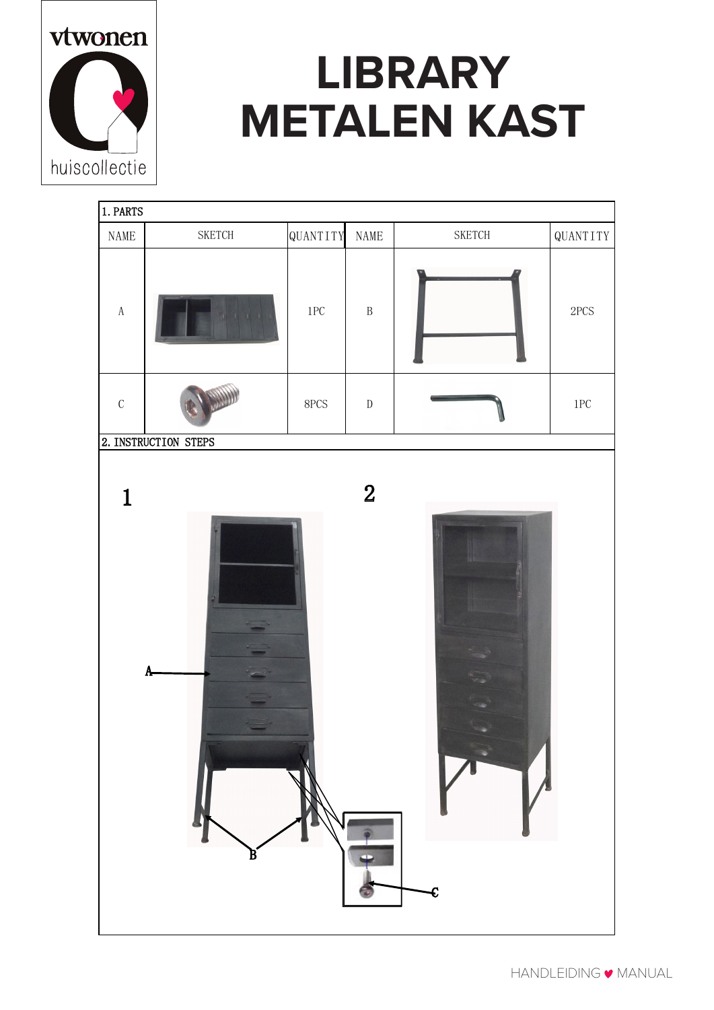

## **LIBRARY METALEN KAST**